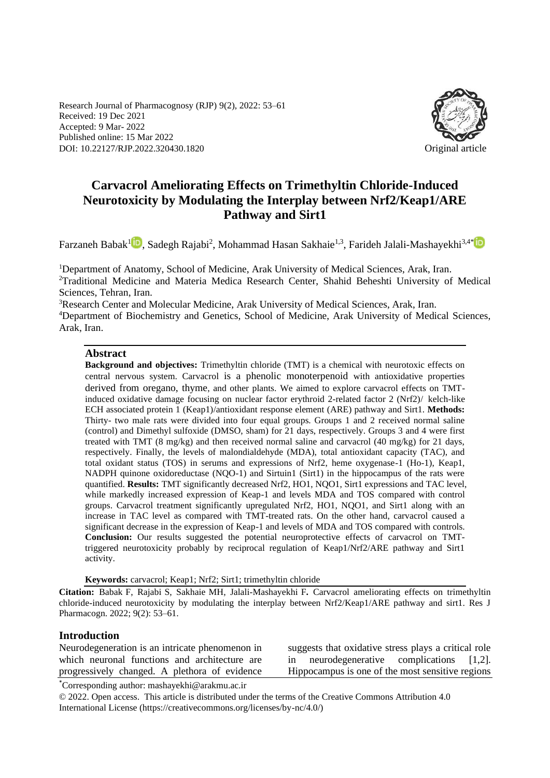Research Journal of Pharmacognosy (RJP) 9(2), 2022: 53–61 Received: 19 Dec 2021 Accepted: 9 Mar- 2022 Published online: 15 Mar 2022 DOI: 10.22127/RJP.2022.320430.1820 Original article



# **Carvacrol Ameliorating Effects on Trimethyltin Chloride-Induced Neurotoxicity by Modulating the Interplay between Nrf2/Keap1/ARE Pathway and Sirt1**

Farzaneh Babak<sup>[1](https://orcid.org/0000-0003-1866-4991)</sup>D, Sadegh Rajabi<sup>2</sup>, Mohammad Hasan Sakhaie<sup>1,3</sup>, Farideh Jalali-Mashayekhi<sup>3,4[\\*](https://orcid.org/0000-0002-1880-1303)</sup>

<sup>1</sup>Department of Anatomy, School of Medicine, Arak University of Medical Sciences, Arak, Iran. <sup>2</sup>Traditional Medicine and Materia Medica Research Center, Shahid Beheshti University of Medical Sciences, Tehran, Iran.

<sup>3</sup>Research Center and Molecular Medicine, Arak University of Medical Sciences, Arak, Iran. <sup>4</sup>Department of Biochemistry and Genetics, School of Medicine, Arak University of Medical Sciences, Arak, Iran.

#### **Abstract**

**Background and objectives:** Trimethyltin chloride (TMT) is a chemical with neurotoxic effects on central nervous system. Carvacrol is a phenolic monoterpenoid with antioxidative properties derived from oregano, thyme, and other plants. We aimed to explore carvacrol effects on TMTinduced oxidative damage focusing on nuclear factor erythroid 2-related factor 2 (Nrf2)/ kelch-like ECH associated protein 1 (Keap1)/antioxidant response element (ARE) pathway and Sirt1. **Methods:**  Thirty- two male rats were divided into four equal groups. Groups 1 and 2 received normal saline (control) and Dimethyl sulfoxide (DMSO, sham) for 21 days, respectively. Groups 3 and 4 were first treated with TMT (8 mg/kg) and then received normal saline and carvacrol (40 mg/kg) for 21 days, respectively. Finally, the levels of malondialdehyde (MDA), total antioxidant capacity (TAC), and total oxidant status (TOS) in serums and expressions of Nrf2, heme oxygenase-1 (Ho-1), Keap1, NADPH quinone oxidoreductase (NQO-1) and Sirtuin1 (Sirt1) in the hippocampus of the rats were quantified. **Results:** TMT significantly decreased Nrf2, HO1, NQO1, Sirt1 expressions and TAC level, while markedly increased expression of Keap-1 and levels MDA and TOS compared with control groups. Carvacrol treatment significantly upregulated Nrf2, HO1, NQO1, and Sirt1 along with an increase in TAC level as compared with TMT-treated rats. On the other hand, carvacrol caused a significant decrease in the expression of Keap-1 and levels of MDA and TOS compared with controls. **Conclusion:** Our results suggested the potential neuroprotective effects of carvacrol on TMTtriggered neurotoxicity probably by reciprocal regulation of Keap1/Nrf2/ARE pathway and Sirt1 activity.

**Keywords:** carvacrol; Keap1; Nrf2; Sirt1; trimethyltin chloride

**Citation:** Babak F, Rajabi S, Sakhaie MH, Jalali-Mashayekhi F**.** Carvacrol ameliorating effects on trimethyltin chloride-induced neurotoxicity by modulating the interplay between Nrf2/Keap1/ARE pathway and sirt1. Res J Pharmacogn. 2022; 9(2): 53–61.

#### **Introduction**

Neurodegeneration is an intricate phenomenon in which neuronal functions and architecture are progressively changed. A plethora of evidence suggests that oxidative stress plays a critical role in neurodegenerative complications [1,2]. Hippocampus is one of the most sensitive regions

\*Corresponding author: mashayekhi@arakmu.ac.ir

© 2022. Open access. This article is distributed under the terms of the Creative Commons Attribution 4.0 International License (https://creativecommons.org/licenses/by-nc/4.0/)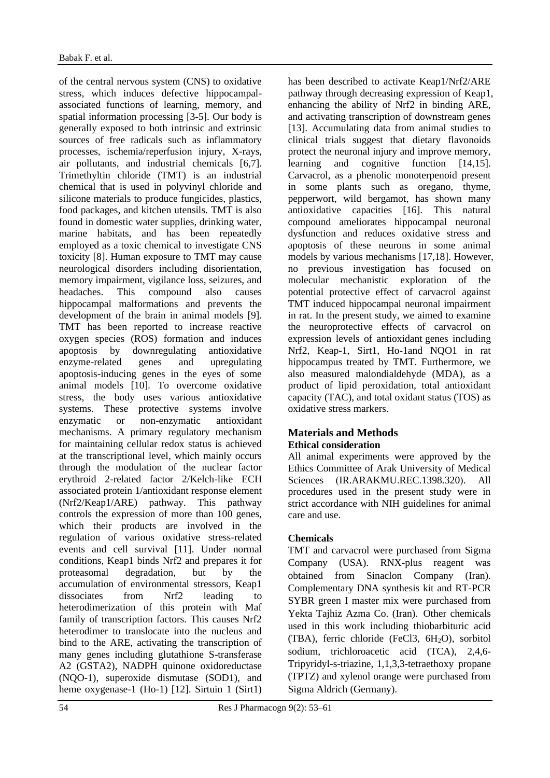of the central nervous system (CNS) to oxidative stress, which induces defective hippocampalassociated functions of learning, memory, and spatial information processing [3-5]. Our body is generally exposed to both intrinsic and extrinsic sources of free radicals such as inflammatory processes, ischemia/reperfusion injury, X-rays, air pollutants, and industrial chemicals [6,7]. Trimethyltin chloride (TMT) is an industrial chemical that is used in polyvinyl chloride and silicone materials to produce fungicides, plastics, food packages, and kitchen utensils. TMT is also found in domestic water supplies, drinking water, marine habitats, and has been repeatedly employed as a toxic chemical to investigate CNS toxicity [8]. Human exposure to TMT may cause neurological disorders including disorientation, memory impairment, vigilance loss, seizures, and headaches. This compound also causes hippocampal malformations and prevents the development of the brain in animal models [9]. TMT has been reported to increase reactive oxygen species (ROS) formation and induces apoptosis by downregulating antioxidative enzyme-related genes and upregulating apoptosis-inducing genes in the eyes of some animal models [10]. To overcome oxidative stress, the body uses various antioxidative systems. These protective systems involve enzymatic or non-enzymatic antioxidant mechanisms. A primary regulatory mechanism for maintaining cellular redox status is achieved at the transcriptional level, which mainly occurs through the modulation of the nuclear factor erythroid 2-related factor 2/Kelch-like ECH associated protein 1/antioxidant response element (Nrf2/Keap1/ARE) pathway. This pathway controls the expression of more than 100 genes, which their products are involved in the regulation of various oxidative stress-related events and cell survival [11]. Under normal conditions, Keap1 binds Nrf2 and prepares it for proteasomal degradation, but by the accumulation of environmental stressors, Keap1 dissociates from Nrf2 leading to heterodimerization of this protein with Maf family of transcription factors. This causes Nrf2 heterodimer to translocate into the nucleus and bind to the ARE, activating the transcription of many genes including glutathione S-transferase A2 (GSTA2), NADPH quinone oxidoreductase (NQO-1), superoxide dismutase (SOD1), and heme oxygenase-1 (Ho-1) [12]. Sirtuin 1 (Sirt1) has been described to activate Keap1/Nrf2/ARE pathway through decreasing expression of Keap1, enhancing the ability of Nrf2 in binding ARE, and activating transcription of downstream genes [13]. Accumulating data from animal studies to clinical trials suggest that dietary flavonoids protect the neuronal injury and improve memory, learning and cognitive function [14,15]. Carvacrol, as a phenolic monoterpenoid present in some plants such as oregano, thyme, pepperwort, wild bergamot, has shown many antioxidative capacities [16]. This natural compound ameliorates hippocampal neuronal dysfunction and reduces oxidative stress and apoptosis of these neurons in some animal models by various mechanisms [17,18]. However, no previous investigation has focused on molecular mechanistic exploration of the potential protective effect of carvacrol against TMT induced hippocampal neuronal impairment in rat. In the present study, we aimed to examine the neuroprotective effects of carvacrol on expression levels of antioxidant genes including Nrf2, Keap-1, Sirt1, Ho-1and NQO1 in rat hippocampus treated by TMT. Furthermore, we also measured malondialdehyde (MDA), as a product of lipid peroxidation, total antioxidant capacity (TAC), and total oxidant status (TOS) as oxidative stress markers.

# **Materials and Methods**

# **Ethical consideration**

All animal experiments were approved by the Ethics Committee of Arak University of Medical Sciences (IR.ARAKMU.REC.1398.320). All procedures used in the present study were in strict accordance with NIH guidelines for animal care and use.

# **Chemicals**

TMT and carvacrol were purchased from Sigma Company (USA). RNX-plus reagent was obtained from Sinaclon Company (Iran). Complementary DNA synthesis kit and RT-PCR SYBR green I master mix were purchased from Yekta Tajhiz Azma Co. (Iran). Other chemicals used in this work including thiobarbituric acid (TBA), ferric chloride (FeCl3, 6H<sub>2</sub>O), sorbitol sodium, trichloroacetic acid (TCA), 2,4,6- Tripyridyl-s-triazine, 1,1,3,3-tetraethoxy propane (TPTZ) and xylenol orange were purchased from Sigma Aldrich (Germany).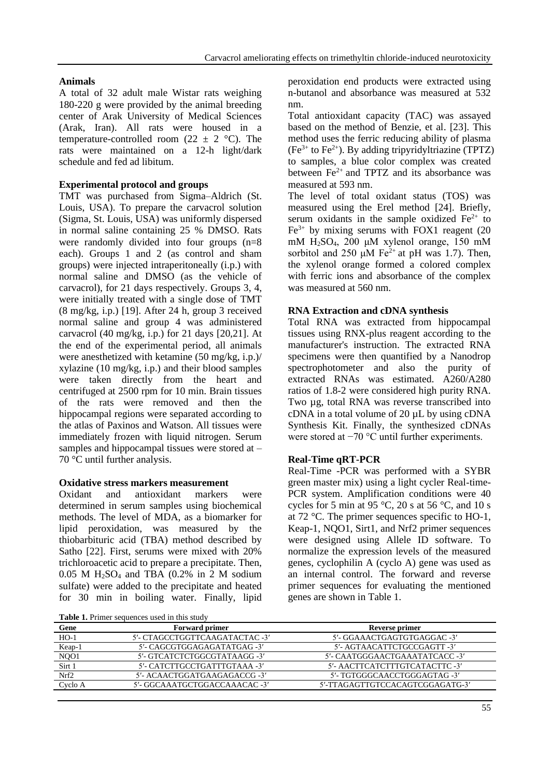# **Animals**

A total of 32 adult male Wistar rats weighing 180-220 g were provided by the animal breeding center of Arak University of Medical Sciences (Arak, Iran). All rats were housed in a temperature-controlled room (22  $\pm$  2 °C). The rats were maintained on a 12-h light/dark schedule and fed ad libitum.

# **Experimental protocol and groups**

TMT was purchased from Sigma–Aldrich (St. Louis, USA). To prepare the carvacrol solution (Sigma, St. Louis, USA) was uniformly dispersed in normal saline containing 25 % DMSO. Rats were randomly divided into four groups (n=8 each). Groups 1 and 2 (as control and sham groups) were injected intraperitoneally (i.p.) with normal saline and DMSO (as the vehicle of carvacrol), for 21 days respectively. Groups 3, 4, were initially treated with a single dose of TMT (8 mg/kg, i.p.) [19]. After 24 h, group 3 received normal saline and group 4 was administered carvacrol (40 mg/kg, i.p.) for 21 days [20,21]. At the end of the experimental period, all animals were anesthetized with ketamine (50 mg/kg, i.p.)/ xylazine (10 mg/kg, i.p.) and their blood samples were taken directly from the heart and centrifuged at 2500 rpm for 10 min. Brain tissues of the rats were removed and then the hippocampal regions were separated according to the atlas of Paxinos and Watson. All tissues were immediately frozen with liquid nitrogen. Serum samples and hippocampal tissues were stored at – 70 °C until further analysis.

#### **Oxidative stress markers measurement**

Oxidant and antioxidant markers were determined in serum samples using biochemical methods. The level of MDA, as a biomarker for lipid peroxidation, was measured by the thiobarbituric acid (TBA) method described by Satho [22]. First, serums were mixed with 20% trichloroacetic acid to prepare a precipitate. Then,  $0.05$  M H<sub>2</sub>SO<sub>4</sub> and TBA  $(0.2\%$  in 2 M sodium sulfate) were added to the precipitate and heated for 30 min in boiling water. Finally, lipid peroxidation end products were extracted using n-butanol and absorbance was measured at 532 nm.

Total antioxidant capacity (TAC) was assayed based on the method of Benzie, et al. [23]. This method uses the ferric reducing ability of plasma  $(Fe^{3+}$  to Fe<sup>2+</sup>). By adding tripyridyltriazine (TPTZ) to samples, a blue color complex was created between  $Fe<sup>2+</sup>$  and TPTZ and its absorbance was measured at 593 nm.

The level of total oxidant status (TOS) was measured using the Erel method [24]. Briefly, serum oxidants in the sample oxidized  $Fe<sup>2+</sup>$  to  $Fe<sup>3+</sup>$  by mixing serums with FOX1 reagent (20) mM H<sub>2</sub>SO<sub>4</sub>, 200 μM xylenol orange, 150 mM sorbitol and 250 μM Fe<sup>2+</sup> at pH was 1.7). Then, the xylenol orange formed a colored complex with ferric ions and absorbance of the complex was measured at 560 nm.

#### **RNA Extraction and cDNA synthesis**

Total RNA was extracted from hippocampal tissues using RNX-plus reagent according to the manufacturer's instruction. The extracted RNA specimens were then quantified by a Nanodrop spectrophotometer and also the purity of extracted RNAs was estimated. A260/A280 ratios of 1.8-2 were considered high purity RNA. Two ug, total RNA was reverse transcribed into cDNA in a total volume of 20 µL by using cDNA Synthesis Kit. Finally, the synthesized cDNAs were stored at −70 °C until further experiments.

# **Real-Time qRT-PCR**

Real-Time -PCR was performed with a SYBR green master mix) using a light cycler Real-time-PCR system. Amplification conditions were 40 cycles for 5 min at 95 °C, 20 s at 56 °C, and 10 s at 72 °C. The primer sequences specific to HO-1, Keap-1, NQO1, Sirt1, and Nrf2 primer sequences were designed using Allele ID software. To normalize the expression levels of the measured genes, cyclophilin A (cyclo A) gene was used as an internal control. The forward and reverse primer sequences for evaluating the mentioned genes are shown in Table 1.

| Table 1. Primer sequences used in this study |  |
|----------------------------------------------|--|
|----------------------------------------------|--|

| <b>Table 1.</b> Finner sequences used in this study |                                |                                 |  |
|-----------------------------------------------------|--------------------------------|---------------------------------|--|
| Gene                                                | <b>Forward primer</b>          | Reverse primer                  |  |
| $HO-1$                                              | 5'- CTAGCCTGGTTCAAGATACTAC -3' | 5'- GGAAACTGAGTGTGAGGAC -3'     |  |
| Keap-1                                              | 5'- CAGCGTGGAGAGATATGAG -3'    | 5'- AGTAACATTCTGCCGAGTT -3'     |  |
| NQ01                                                | 5'- GTCATCTCTGGCGTATAAGG -3'   | 5'- CAATGGGAACTGAAATATCACC -3'  |  |
| Sirt 1                                              | 5'- CATCTTGCCTGATTTGTAAA -3'   | 5'- AACTTCATCTTTGTCATACTTC -3'  |  |
| Nrf2                                                | 5'- ACAACTGGATGAAGAGACCG -3'   | 5'- TGTGGGCAACCTGGGAGTAG -3'    |  |
| Cyclo A                                             | 5'- GGCAAATGCTGGACCAAACAC -3'  | 5'-TTAGAGTTGTCCACAGTCGGAGATG-3' |  |
|                                                     |                                |                                 |  |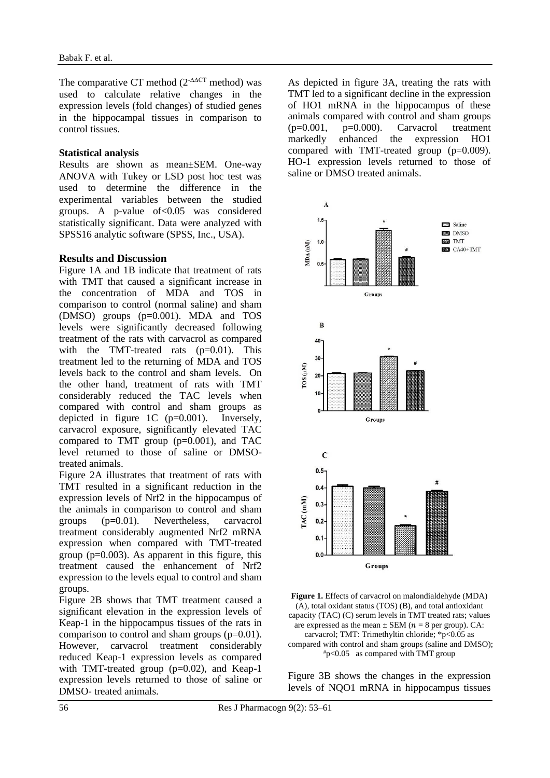The comparative CT method  $(2^{-\Delta\Delta CT}$  method) was used to calculate relative changes in the expression levels (fold changes) of studied genes in the hippocampal tissues in comparison to control tissues.

#### **Statistical analysis**

Results are shown as mean±SEM. One-way ANOVA with Tukey or LSD post hoc test was used to determine the difference in the experimental variables between the studied groups. A p-value of<0.05 was considered statistically significant. Data were analyzed with SPSS16 analytic software (SPSS, Inc., USA).

#### **Results and Discussion**

Figure 1A and 1B indicate that treatment of rats with TMT that caused a significant increase in the concentration of MDA and TOS in comparison to control (normal saline) and sham (DMSO) groups (p=0.001). MDA and TOS levels were significantly decreased following treatment of the rats with carvacrol as compared with the TMT-treated rats  $(p=0.01)$ . This treatment led to the returning of MDA and TOS levels back to the control and sham levels. On the other hand, treatment of rats with TMT considerably reduced the TAC levels when compared with control and sham groups as depicted in figure 1C (p=0.001). Inversely, carvacrol exposure, significantly elevated TAC compared to TMT group  $(p=0.001)$ , and TAC level returned to those of saline or DMSOtreated animals.

Figure 2A illustrates that treatment of rats with TMT resulted in a significant reduction in the expression levels of Nrf2 in the hippocampus of the animals in comparison to control and sham groups (p=0.01). Nevertheless, carvacrol treatment considerably augmented Nrf2 mRNA expression when compared with TMT-treated group  $(p=0.003)$ . As apparent in this figure, this treatment caused the enhancement of Nrf2 expression to the levels equal to control and sham groups.

Figure 2B shows that TMT treatment caused a significant elevation in the expression levels of Keap-1 in the hippocampus tissues of the rats in comparison to control and sham groups  $(p=0.01)$ . However, carvacrol treatment considerably reduced Keap-1 expression levels as compared with TMT-treated group  $(p=0.02)$ , and Keap-1 expression levels returned to those of saline or DMSO- treated animals.

As depicted in figure 3A, treating the rats with TMT led to a significant decline in the expression of HO1 mRNA in the hippocampus of these animals compared with control and sham groups  $(p=0.001, p=0.000)$ . Carvacrol treatment markedly enhanced the expression HO1 compared with TMT-treated group (p=0.009). HO-1 expression levels returned to those of saline or DMSO treated animals.





Figure 3B shows the changes in the expression levels of NQO1 mRNA in hippocampus tissues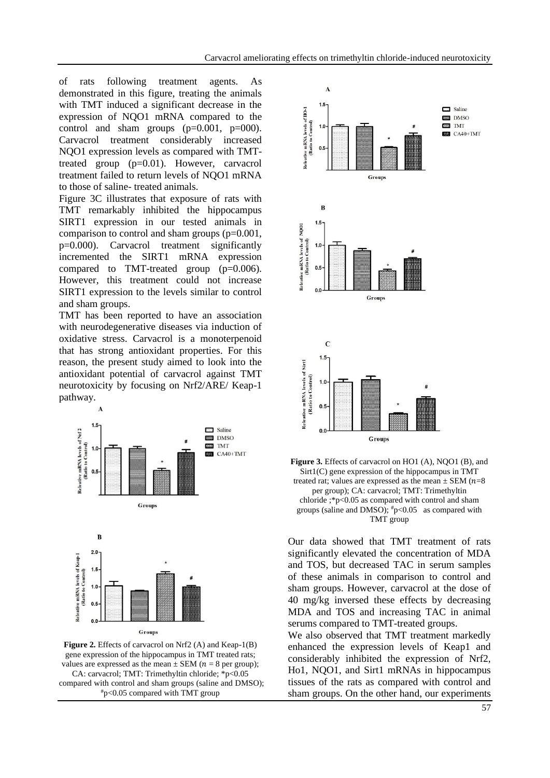of rats following treatment agents. As demonstrated in this figure, treating the animals with TMT induced a significant decrease in the expression of NQO1 mRNA compared to the control and sham groups  $(p=0.001, p=000)$ . Carvacrol treatment considerably increased NQO1 expression levels as compared with TMTtreated group (p=0.01). However, carvacrol treatment failed to return levels of NQO1 mRNA to those of saline- treated animals.

Figure 3C illustrates that exposure of rats with TMT remarkably inhibited the hippocampus SIRT1 expression in our tested animals in comparison to control and sham groups (p=0.001, p=0.000). Carvacrol treatment significantly incremented the SIRT1 mRNA expression compared to TMT-treated group (p=0.006). However, this treatment could not increase SIRT1 expression to the levels similar to control and sham groups.

TMT has been reported to have an association with neurodegenerative diseases via induction of oxidative stress. Carvacrol is a monoterpenoid that has strong antioxidant properties. For this reason, the present study aimed to look into the antioxidant potential of carvacrol against TMT neurotoxicity by focusing on Nrf2/ARE/ Keap-1 pathway.



**Figure 2.** Effects of carvacrol on Nrf2 (A) and Keap-1(B) gene expression of the hippocampus in TMT treated rats; values are expressed as the mean  $\pm$  SEM ( $n = 8$  per group); CA: carvacrol; TMT: Trimethyltin chloride; \*p<0.05 compared with control and sham groups (saline and DMSO); #p<0.05 compared with TMT group

Groups



**Figure 3.** Effects of carvacrol on HO1 (A), NOO1 (B), and Sirt1(C) gene expression of the hippocampus in TMT treated rat; values are expressed as the mean  $\pm$  SEM ( $n=8$ ) per group); CA: carvacrol; TMT: Trimethyltin chloride ;\*p<0.05 as compared with control and sham groups (saline and DMSO);  $\frac{4}{7}$ p<0.05 as compared with TMT group

Our data showed that TMT treatment of rats significantly elevated the concentration of MDA and TOS, but decreased TAC in serum samples of these animals in comparison to control and sham groups. However, carvacrol at the dose of 40 mg/kg inversed these effects by decreasing MDA and TOS and increasing TAC in animal serums compared to TMT-treated groups.

We also observed that TMT treatment markedly enhanced the expression levels of Keap1 and considerably inhibited the expression of Nrf2, Ho1, NQO1, and Sirt1 mRNAs in hippocampus tissues of the rats as compared with control and sham groups. On the other hand, our experiments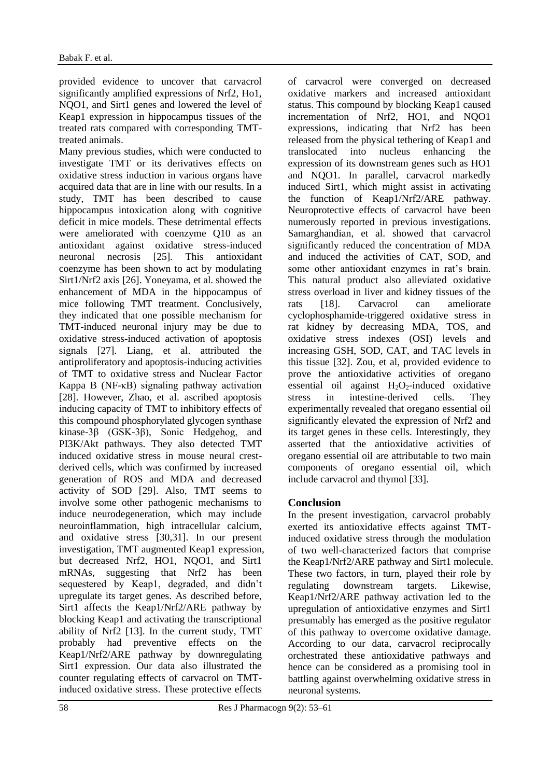provided evidence to uncover that carvacrol significantly amplified expressions of Nrf2, Ho1, NQO1, and Sirt1 genes and lowered the level of Keap1 expression in hippocampus tissues of the treated rats compared with corresponding TMTtreated animals.

Many previous studies, which were conducted to investigate TMT or its derivatives effects on oxidative stress induction in various organs have acquired data that are in line with our results. In a study, TMT has been described to cause hippocampus intoxication along with cognitive deficit in mice models. These detrimental effects were ameliorated with coenzyme Q10 as an antioxidant against oxidative stress-induced neuronal necrosis [25]. This antioxidant coenzyme has been shown to act by modulating Sirt1/Nrf2 axis [26]. Yoneyama, et al. showed the enhancement of MDA in the hippocampus of mice following TMT treatment. Conclusively, they indicated that one possible mechanism for TMT-induced neuronal injury may be due to oxidative stress-induced activation of apoptosis signals [27]. Liang, et al. attributed the antiproliferatory and apoptosis-inducing activities of TMT to oxidative stress and Nuclear Factor Kappa B (NF-κB) signaling pathway activation [28]. However, Zhao, et al. ascribed apoptosis inducing capacity of TMT to inhibitory effects of this compound phosphorylated glycogen synthase kinase-3β (GSK-3β), Sonic Hedgehog, and PI3K/Akt pathways. They also detected TMT induced oxidative stress in mouse neural crestderived cells, which was confirmed by increased generation of ROS and MDA and decreased activity of SOD [29]. Also, TMT seems to involve some other pathogenic mechanisms to induce neurodegeneration, which may include neuroinflammation, high intracellular calcium, and oxidative stress [30,31]. In our present investigation, TMT augmented Keap1 expression, but decreased Nrf2, HO1, NQO1, and Sirt1 mRNAs, suggesting that Nrf2 has been sequestered by Keap1, degraded, and didn't upregulate its target genes. As described before, Sirt1 affects the Keap1/Nrf2/ARE pathway by blocking Keap1 and activating the transcriptional ability of Nrf2 [13]. In the current study, TMT probably had preventive effects on the Keap1/Nrf2/ARE pathway by downregulating Sirt1 expression. Our data also illustrated the counter regulating effects of carvacrol on TMTinduced oxidative stress. These protective effects

of carvacrol were converged on decreased oxidative markers and increased antioxidant status. This compound by blocking Keap1 caused incrementation of Nrf2, HO1, and NQO1 expressions, indicating that Nrf2 has been released from the physical tethering of Keap1 and translocated into nucleus enhancing the expression of its downstream genes such as HO1 and NQO1. In parallel, carvacrol markedly induced Sirt1, which might assist in activating the function of Keap1/Nrf2/ARE pathway. Neuroprotective effects of carvacrol have been numerously reported in previous investigations. Samarghandian, et al. showed that carvacrol significantly reduced the concentration of MDA and induced the activities of CAT, SOD, and some other antioxidant enzymes in rat's brain. This natural product also alleviated oxidative stress overload in liver and kidney tissues of the rats [18]. Carvacrol can ameliorate cyclophosphamide-triggered oxidative stress in rat kidney by decreasing MDA, TOS, and oxidative stress indexes (OSI) levels and increasing GSH, SOD, CAT, and TAC levels in this tissue [32]. Zou, et al, provided evidence to prove the antioxidative activities of oregano essential oil against  $H_2O_2$ -induced oxidative stress in intestine-derived cells. They experimentally revealed that oregano essential oil significantly elevated the expression of Nrf2 and its target genes in these cells. Interestingly, they asserted that the antioxidative activities of oregano essential oil are attributable to two main components of oregano essential oil, which include carvacrol and thymol [33].

# **Conclusion**

In the present investigation, carvacrol probably exerted its antioxidative effects against TMTinduced oxidative stress through the modulation of two well-characterized factors that comprise the Keap1/Nrf2/ARE pathway and Sirt1 molecule. These two factors, in turn, played their role by regulating downstream targets. Likewise, Keap1/Nrf2/ARE pathway activation led to the upregulation of antioxidative enzymes and Sirt1 presumably has emerged as the positive regulator of this pathway to overcome oxidative damage. According to our data, carvacrol reciprocally orchestrated these antioxidative pathways and hence can be considered as a promising tool in battling against overwhelming oxidative stress in neuronal systems.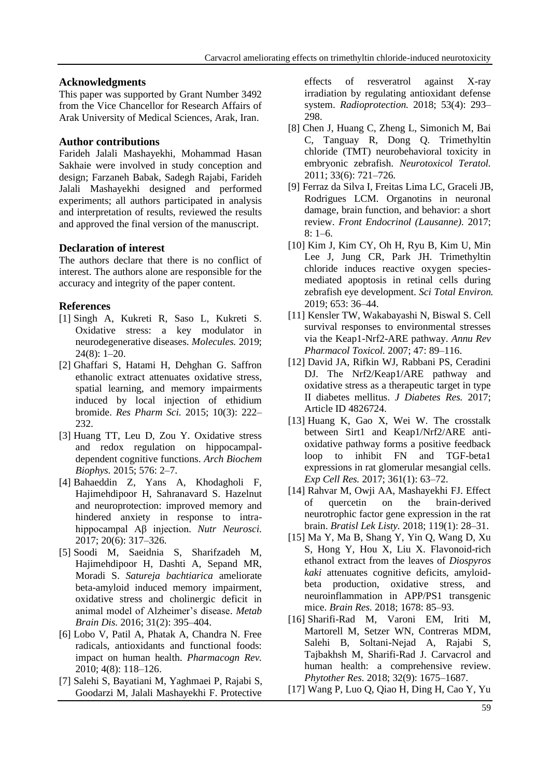#### **Acknowledgments**

This paper was supported by Grant Number 3492 from the Vice Chancellor for Research Affairs of Arak University of Medical Sciences, Arak, Iran.

# **Author contributions**

Farideh Jalali Mashayekhi, Mohammad Hasan Sakhaie were involved in study conception and design; Farzaneh Babak, Sadegh Rajabi, Farideh Jalali Mashayekhi designed and performed experiments; all authors participated in analysis and interpretation of results, reviewed the results and approved the final version of the manuscript.

# **Declaration of interest**

The authors declare that there is no conflict of interest. The authors alone are responsible for the accuracy and integrity of the paper content.

# **References**

- [1] Singh A, Kukreti R, Saso L, Kukreti S. Oxidative stress: a key modulator in neurodegenerative diseases. *Molecules.* 2019; 24(8): 1–20.
- [2] Ghaffari S, Hatami H, Dehghan G. Saffron ethanolic extract attenuates oxidative stress, spatial learning, and memory impairments induced by local injection of ethidium bromide. *Res Pharm Sci.* 2015; 10(3): 222– 232.
- [3] Huang TT, Leu D, Zou Y. Oxidative stress and redox regulation on hippocampaldependent cognitive functions. *Arch Biochem Biophys.* 2015; 576: 2–7.
- [4] Bahaeddin Z, Yans A, Khodagholi F, Hajimehdipoor H, Sahranavard S. Hazelnut and neuroprotection: improved memory and hindered anxiety in response to intrahippocampal Aβ injection. *Nutr Neurosci.* 2017; 20(6): 317–326.
- [5] Soodi M, Saeidnia S, Sharifzadeh M, Hajimehdipoor H, Dashti A, Sepand MR, Moradi S. *Satureja bachtiarica* ameliorate beta-amyloid induced memory impairment, oxidative stress and cholinergic deficit in animal model of Alzheimer's disease. *Metab Brain Dis.* 2016; 31(2): 395–404.
- [6] Lobo V, Patil A, Phatak A, Chandra N. Free radicals, antioxidants and functional foods: impact on human health. *Pharmacogn Rev.* 2010; 4(8): 118–126.
- [7] Salehi S, Bayatiani M, Yaghmaei P, Rajabi S, Goodarzi M, Jalali Mashayekhi F. Protective

effects of resveratrol against X-ray irradiation by regulating antioxidant defense system. *Radioprotection.* 2018; 53(4): 293– 298.

- [8] Chen J, Huang C, Zheng L, [Simonich](https://pubmed.ncbi.nlm.nih.gov/?term=Simonich+M&cauthor_id=21964161) M, [Bai](https://pubmed.ncbi.nlm.nih.gov/?term=Bai+C&cauthor_id=21964161) C, [Tanguay](https://pubmed.ncbi.nlm.nih.gov/?term=Tanguay+R&cauthor_id=21964161) R, [Dong](https://pubmed.ncbi.nlm.nih.gov/?term=Dong+Q&cauthor_id=21964161) Q. Trimethyltin chloride (TMT) neurobehavioral toxicity in embryonic zebrafish. *Neurotoxicol Teratol.* 2011; 33(6): 721–726.
- [9] Ferraz da Silva I, Freitas Lima LC, Graceli JB, Rodrigues LCM. Organotins in neuronal damage, brain function, and behavior: a short review. *Front Endocrinol (Lausanne).* 2017; 8: 1–6.
- [10] Kim J, Kim CY, Oh H, [Ryu](https://pubmed.ncbi.nlm.nih.gov/?term=Ryu+B&cauthor_id=30399559) B, [Kim](https://pubmed.ncbi.nlm.nih.gov/?term=Kim+U&cauthor_id=30399559) U, [Min](https://pubmed.ncbi.nlm.nih.gov/?term=Lee+JM&cauthor_id=30399559)  [Lee](https://pubmed.ncbi.nlm.nih.gov/?term=Lee+JM&cauthor_id=30399559) J, [Jung](https://pubmed.ncbi.nlm.nih.gov/?term=Jung+CR&cauthor_id=30399559) CR, [Park](https://pubmed.ncbi.nlm.nih.gov/?term=Park+JH&cauthor_id=30399559) JH. Trimethyltin chloride induces reactive oxygen speciesmediated apoptosis in retinal cells during zebrafish eye development. *Sci Total Environ.* 2019; 653: 36–44.
- [11] Kensler TW, Wakabayashi N, Biswal S. Cell survival responses to environmental stresses via the Keap1-Nrf2-ARE pathway. *Annu Rev Pharmacol Toxicol.* 2007; 47: 89–116.
- [12] David JA, Rifkin WJ, Rabbani PS, Ceradini DJ. The Nrf2/Keap1/ARE pathway and oxidative stress as a therapeutic target in type II diabetes mellitus. *J Diabetes Res.* 2017; Article ID 4826724.
- [13] Huang K, Gao X, Wei W. The crosstalk between Sirt1 and Keap1/Nrf2/ARE antioxidative pathway forms a positive feedback loop to inhibit FN and TGF-beta1 expressions in rat glomerular mesangial cells. *Exp Cell Res.* 2017; 361(1): 63–72.
- [14] Rahvar M, Owji AA, Mashayekhi FJ. Effect of quercetin on the brain-derived neurotrophic factor gene expression in the rat brain. *Bratisl Lek Listy.* 2018; 119(1): 28–31.
- [15] Ma Y, Ma B, Shang Y, Yin Q, Wang D, Xu S, Hong Y, Hou X, Liu X. Flavonoid-rich ethanol extract from the leaves of *Diospyros kaki* attenuates cognitive deficits, amyloidbeta production, oxidative stress, and neuroinflammation in APP/PS1 transgenic mice. *Brain Res.* 2018; 1678: 85–93.
- [16] Sharifi-Rad M, Varoni EM, Iriti M, [Martorell](https://pubmed.ncbi.nlm.nih.gov/?term=Martorell+M&cauthor_id=29744941) M, [Setzer](https://pubmed.ncbi.nlm.nih.gov/?term=Setzer+WN&cauthor_id=29744941) WN, [Contreras](https://pubmed.ncbi.nlm.nih.gov/?term=Del+Mar+Contreras+M&cauthor_id=29744941) MDM, [Salehi](https://pubmed.ncbi.nlm.nih.gov/?term=Salehi+B&cauthor_id=29744941) B, [Soltani-Nejad](https://pubmed.ncbi.nlm.nih.gov/?term=Soltani-Nejad+A&cauthor_id=29744941) A, [Rajabi](https://pubmed.ncbi.nlm.nih.gov/?term=Rajabi+S&cauthor_id=29744941) S, [Tajbakhsh](https://pubmed.ncbi.nlm.nih.gov/?term=Tajbakhsh+M&cauthor_id=29744941) M, [Sharifi-Rad](https://pubmed.ncbi.nlm.nih.gov/?term=Sharifi-Rad+J&cauthor_id=29744941) J. Carvacrol and human health: a comprehensive review. *Phytother Res.* 2018; 32(9): 1675–1687.
- [17] Wang P, Luo Q, Qiao H, Ding H, Cao Y, Yu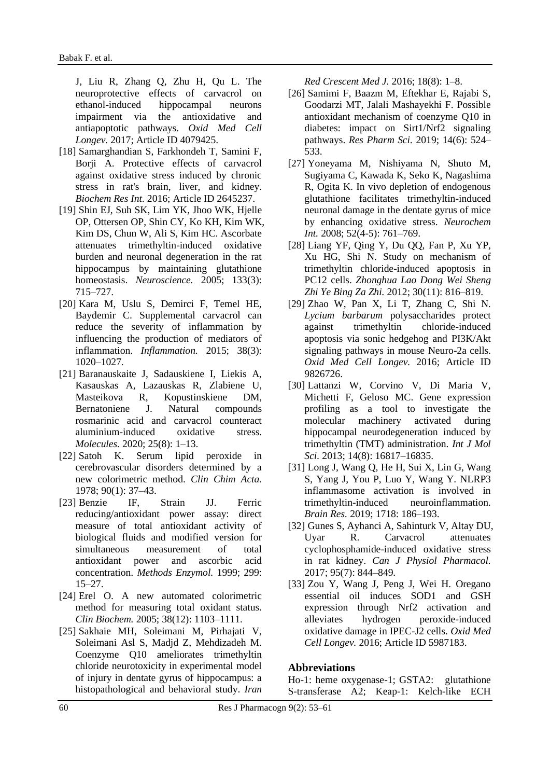J, Liu R, Zhang Q, Zhu H, Qu L. The neuroprotective effects of carvacrol on ethanol-induced hippocampal neurons impairment via the antioxidative and antiapoptotic pathways. *Oxid Med Cell Longev.* 2017; Article ID 4079425.

- [18] Samarghandian S, Farkhondeh T, Samini F, Borji A. Protective effects of carvacrol against oxidative stress induced by chronic stress in rat's brain, liver, and kidney. *Biochem Res Int.* 2016; Article ID 2645237.
- [19] Shin EJ, Suh SK, Lim YK, [Jhoo](https://pubmed.ncbi.nlm.nih.gov/?term=Jhoo+WK&cauthor_id=15908128) WK, [Hjelle](https://pubmed.ncbi.nlm.nih.gov/?term=Hjelle+OP&cauthor_id=15908128) OP, [Ottersen](https://pubmed.ncbi.nlm.nih.gov/?term=Ottersen+OP&cauthor_id=15908128) OP, [Shin](https://pubmed.ncbi.nlm.nih.gov/?term=Shin+CY&cauthor_id=15908128) CY, [Ko](https://pubmed.ncbi.nlm.nih.gov/?term=Ko+KH&cauthor_id=15908128) KH, [Kim](https://pubmed.ncbi.nlm.nih.gov/?term=Kim+WK&cauthor_id=15908128) WK[,](https://pubmed.ncbi.nlm.nih.gov/?term=Kim+DS&cauthor_id=15908128) [Kim](https://pubmed.ncbi.nlm.nih.gov/?term=Kim+DS&cauthor_id=15908128) DS, [Chun](https://pubmed.ncbi.nlm.nih.gov/?term=Chun+W&cauthor_id=15908128) W, [Ali](https://pubmed.ncbi.nlm.nih.gov/?term=Ali+S&cauthor_id=15908128) S, [Kim](https://pubmed.ncbi.nlm.nih.gov/?term=Kim+HC&cauthor_id=15908128) HC. Ascorbate attenuates trimethyltin-induced oxidative burden and neuronal degeneration in the rat hippocampus by maintaining glutathione homeostasis. *Neuroscience.* 2005; 133(3): 715–727.
- [20] Kara M, Uslu S, Demirci F, Temel HE, Baydemir C. Supplemental carvacrol can reduce the severity of inflammation by influencing the production of mediators of inflammation. *Inflammation.* 2015; 38(3): 1020–1027.
- [21] Baranauskaite J, Sadauskiene I, Liekis A, [Kasauskas](https://pubmed.ncbi.nlm.nih.gov/?term=Kasauskas+A&cauthor_id=32326410) A, [Lazauskas](https://pubmed.ncbi.nlm.nih.gov/?term=Lazauskas+R&cauthor_id=32326410) R, [Zlabiene](https://pubmed.ncbi.nlm.nih.gov/?term=Zlabiene+U&cauthor_id=32326410) U, [Masteikova](https://pubmed.ncbi.nlm.nih.gov/?term=Masteikova+R&cauthor_id=32326410) R, [Kopustinskiene](https://pubmed.ncbi.nlm.nih.gov/?term=Kopustinskiene+DM&cauthor_id=32326410) DM, [Bernatoniene](https://pubmed.ncbi.nlm.nih.gov/?term=Bernatoniene+J&cauthor_id=32326410) J. Natural compounds rosmarinic acid and carvacrol counteract aluminium-induced oxidative stress. *Molecules.* 2020; 25(8): 1–13.
- [22] Satoh K. Serum lipid peroxide in cerebrovascular disorders determined by a new colorimetric method. *Clin Chim Acta.* 1978; 90(1): 37–43.
- [23] Benzie IF, Strain JJ. Ferric reducing/antioxidant power assay: direct measure of total antioxidant activity of biological fluids and modified version for simultaneous measurement of total antioxidant power and ascorbic acid concentration. *Methods Enzymol.* 1999; 299: 15–27.
- [24] Erel O. A new automated colorimetric method for measuring total oxidant status. *Clin Biochem.* 2005; 38(12): 1103–1111.
- [25] Sakhaie MH, Soleimani M, Pirhajati V, Soleimani Asl S, Madjd Z, Mehdizadeh M. Coenzyme Q10 ameliorates trimethyltin chloride neurotoxicity in experimental model of injury in dentate gyrus of hippocampus: a histopathological and behavioral study. *Iran*

*Red Crescent Med J.* 2016; 18(8): 1–8.

- [26] Samimi F, Baazm M, Eftekhar E, Rajabi S, Goodarzi MT, Jalali Mashayekhi F. Possible antioxidant mechanism of coenzyme Q10 in diabetes: impact on Sirt1/Nrf2 signaling pathways. *Res Pharm Sci.* 2019; 14(6): 524– 533.
- [27] Yoneyama M, Nishiyama N, Shuto M, [Sugiyama](https://www.sciencedirect.com/science/article/abs/pii/S0197018607002586#!) C, [Kawada](https://www.sciencedirect.com/science/article/abs/pii/S0197018607002586#!) K, [Seko](https://www.sciencedirect.com/science/article/abs/pii/S0197018607002586#!) K, [Nagashima](https://www.sciencedirect.com/science/article/abs/pii/S0197018607002586#!) R, [Ogita](https://www.sciencedirect.com/science/article/abs/pii/S0197018607002586#!) K. In vivo depletion of endogenous glutathione facilitates trimethyltin-induced neuronal damage in the dentate gyrus of mice by enhancing oxidative stress. *Neurochem Int.* 2008; 52(4-5): 761–769.
- [28] Liang YF, Qing Y, Du QQ, [Fan](https://pubmed.ncbi.nlm.nih.gov/?term=Fan+P&cauthor_id=23257029) P, [Xu](https://pubmed.ncbi.nlm.nih.gov/?term=Xu+YP&cauthor_id=23257029) YP[,](https://pubmed.ncbi.nlm.nih.gov/?term=Xu+HG&cauthor_id=23257029) [Xu](https://pubmed.ncbi.nlm.nih.gov/?term=Xu+HG&cauthor_id=23257029) HG, [Shi](https://pubmed.ncbi.nlm.nih.gov/?term=Shi+N&cauthor_id=23257029) N. Study on mechanism of trimethyltin chloride-induced apoptosis in PC12 cells. *Zhonghua Lao Dong Wei Sheng Zhi Ye Bing Za Zhi.* 2012; 30(11): 816–819.
- [29] Zhao W, Pan X, Li T, Zhang C, Shi N. *Lycium barbarum* polysaccharides protect against trimethyltin chloride-induced apoptosis via sonic hedgehog and PI3K/Akt signaling pathways in mouse Neuro-2a cells. *Oxid Med Cell Longev.* 2016; Article ID 9826726.
- [30] Lattanzi W, Corvino V, Di Maria V, Michetti F, Geloso MC. Gene expression profiling as a tool to investigate the molecular machinery activated during hippocampal neurodegeneration induced by trimethyltin (TMT) administration. *Int J Mol Sci.* 2013; 14(8): 16817–16835.
- [31] Long J, Wang Q, He H, [Sui](https://pubmed.ncbi.nlm.nih.gov/?term=Sui+X&cauthor_id=31059678) X, [Lin](https://pubmed.ncbi.nlm.nih.gov/?term=Lin+G&cauthor_id=31059678) G, [Wang](https://pubmed.ncbi.nlm.nih.gov/?term=Wang+S&cauthor_id=31059678) S, [Yang](https://pubmed.ncbi.nlm.nih.gov/?term=Yang+J&cauthor_id=31059678) J, [You](https://pubmed.ncbi.nlm.nih.gov/?term=You+P&cauthor_id=31059678) P, [Luo](https://pubmed.ncbi.nlm.nih.gov/?term=Luo+Y&cauthor_id=31059678) Y, [Wang](https://pubmed.ncbi.nlm.nih.gov/?term=Wang+Y&cauthor_id=31059678) Y. NLRP3 inflammasome activation is involved in trimethyltin-induced neuroinflammation. *Brain Res.* 2019; 1718: 186–193.
- [32] Gunes S, Ayhanci A, Sahinturk V, Altay DU, Uyar R. Carvacrol attenuates cyclophosphamide-induced oxidative stress in rat kidney. *Can J Physiol Pharmacol.* 2017; 95(7): 844–849.
- [33] Zou Y, Wang J, Peng J, Wei H. Oregano essential oil induces SOD1 and GSH expression through Nrf2 activation and alleviates hydrogen peroxide-induced oxidative damage in IPEC-J2 cells. *Oxid Med Cell Longev.* 2016; Article ID 5987183.

# **Abbreviations**

Ho-1: heme oxygenase-1; GSTA2: glutathione S-transferase A2; Keap-1: Kelch-like ECH